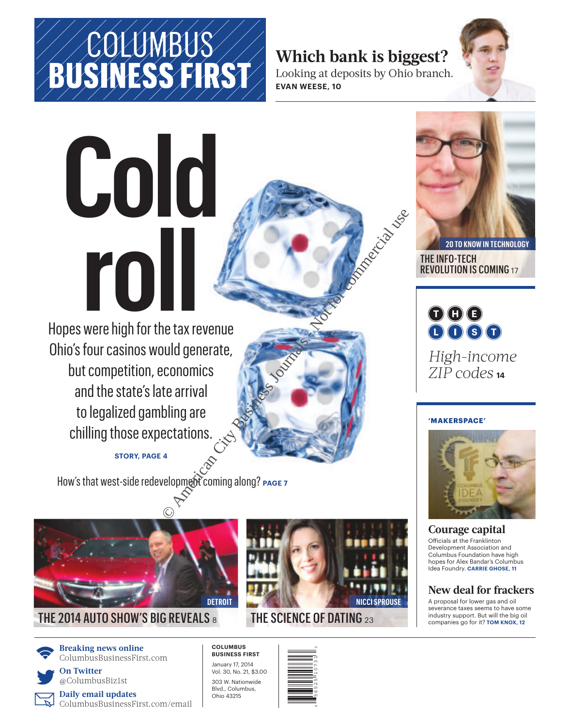#### **Which bank is biggest?**

Looking at deposits by Ohio branch. **EVAN WEESE, 10**



# **Cold roll**

Hopes were high for the tax revenue Ohio's four casinos would generate, but competition, economics and the state's late arrival to legalized gambling are chilling those expectations. Properties Comming along? PAGE?

#### **STORY, PAGE 4**

How's that west-side redevelopment coming along? **PAGE 7**



#### THE 2014 AUTO SHOW'S BIG REVEALS  $\rm s$



**Breaking news online** ColumbusBusinessFirst.com

**L On Twitter** @ColumbusBiz1st

**Daily email updates** ColumbusBusinessFirst.com/email

## **NICCI SPROUSE**

#### THE SCIENCE OF DATING  $_{23}$

**COLUMBUS BUSINESS FIRST**

January 17, 2014 Vol. 30, No. 21, \$3.00 303 W. Nationwide Blvd., Columbus, Ohio 43215



**20 TO KNOW IN TECHNOLOGY** THE INFO-TECH REVOLUTION IS COMING <sup>17</sup>

 $\bigcirc$   $\bigcirc$   $\bigcirc$  $0000$ 

*High-income ZIP codes* **<sup>14</sup>**

#### **'MAKERSPACE'**



**Courage capital** Officials at the Franklinton Development Association and Columbus Foundation have high hopes for Alex Bandar's Columbus Idea Foundry. **CARRIE GHOSE, 11**

#### **New deal for frackers**

A proposal for lower gas and oil severance taxes seems to have some industry support. But will the big oil companies go for it? **TOM KNOX, 12**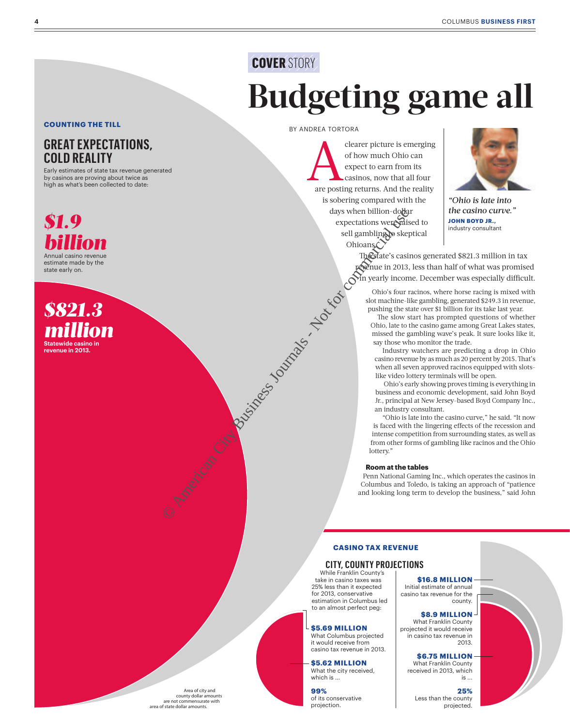## **COVER** STORY **Budgeting game all**

**COUNTING THE TILL** 

#### **GREAT EXPECTATIONS, COLD REALITY**

Early estimates of state tax revenue generated by casinos are proving about twice as high as what's been collected to date:



*\$821.3 million* **Statewide casino in revenue in 2013.**

#### BY ANDREA TORTORA

Cearer picture is emerging<br>of how much Ohio can<br>expect to earn from its<br>casinos, now that all four<br>are posting returns. And the reality of how much Ohio can expect to earn from its casinos, now that all four are posting returns. And the reality is sobering compared with the days when billion-dol<del>la</del>r expectations were raised to sell gambling to skeptical Ohioans. day when billon degree the separator of commercial commercial users of commercial users of commercial users of commercial users of commercial users are  $\frac{1}{2}$  commercial users of commercial users of commercial users of



*"Ohio is late into the casino curve."* **JOHN BOYD JR.,**<br>industry consultant

The state's casinos generated \$821.3 million in tax revenue in 2013, less than half of what was promised in yearly income. December was especially difficult.

Ohio's four racinos, where horse racing is mixed with slot machine-like gambling, generated \$249.3 in revenue, pushing the state over \$1 billion for its take last year.

The slow start has prompted questions of whether Ohio, late to the casino game among Great Lakes states, missed the gambling wave's peak. It sure looks like it, say those who monitor the trade.

Industry watchers are predicting a drop in Ohio casino revenue by as much as 20 percent by 2015. That's when all seven approved racinos equipped with slotslike video lottery terminals will be open.

Ohio's early showing proves timing is everything in business and economic development, said John Boyd Jr., principal at New Jersey-based Boyd Company Inc., an industry consultant.

"Ohio is late into the casino curve," he said. "It now is faced with the lingering effects of the recession and intense competition from surrounding states, as well as from other forms of gambling like racinos and the Ohio lottery."

#### **Room at the tables**

Penn National Gaming Inc., which operates the casinos in Columbus and Toledo, is taking an approach of "patience and looking long term to develop the business," said John

#### **CASINO TAX REVENUE**

#### **CITY, COUNTY PROJECTIONS**

While Franklin County's take in casino taxes was 25% less than it expected for 2013, conservative estimation in Columbus led to an almost perfect peg:

#### **\$5.69 MILLION**

What Columbus projected it would receive from casino tax revenue in 2013.

**\$5.62 MILLION** What the city received, which is ...

**99%**  of its conservative projection.

**\$16.8 MILLION**  Initial estimate of annual casino tax revenue for the county.

#### **\$8.9 MILLION**

What Franklin County projected it would receive in casino tax revenue in 2013.

> **\$6.75 MILLION**  What Franklin County

received in 2013, which is ...

**25%**  Less than the county projected.

Area of city and county dollar amounts are not commensurate with area of state dollar amounts.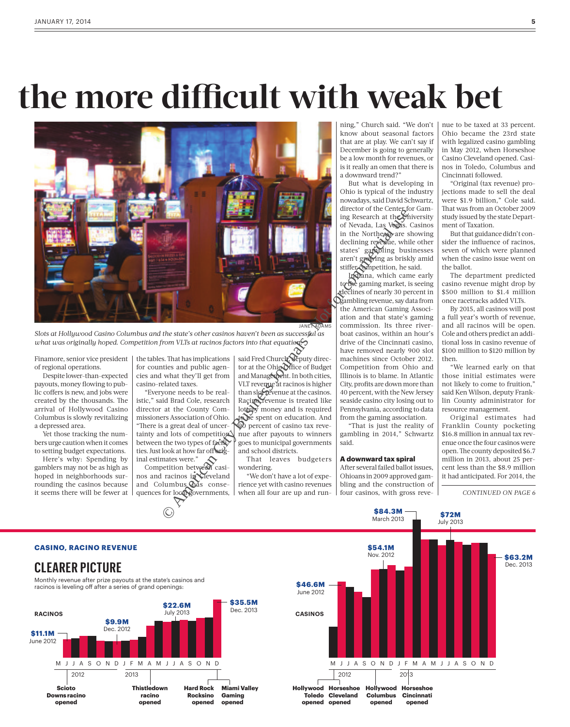## **the more difficult with weak bet**



*Slots at Hollywood Casino Columbus and the state's other casinos haven't been as successful as what was originally hoped. Competition from VLTs at racinos factors into that equation.*

Finamore, senior vice president of regional operations.

Despite lower-than-expected payouts, money flowing to public coffers is new, and jobs were created by the thousands. The arrival of Hollywood Casino Columbus is slowly revitalizing a depressed area.

Yet those tracking the numbers urge caution when it comes to setting budget expectations.

Here's why: Spending by gamblers may not be as high as hoped in neighborhoods surrounding the casinos because it seems there will be fewer at

**CASINO, RACINO REVENUE**

the tables. That has implications for counties and public agencies and what they'll get from casino-related taxes.

"Everyone needs to be realistic," said Brad Cole, research director at the County Commissioners Association of Ohio. "There is a great deal of uncertainty and lots of competition between the two types of facilities. Just look at how far off inal estimates were."

Competition between casinos and racinos in Cleveland and Columbus has consequences for local governments,

said Fred Church, deputy director at the Ohio Office of Budget and Management. In both cities, VLT revenue at racinos is higher than slot revenue at the casinos. Racino revenue is treated like lottery money and is required to be spent on education. And  $\overrightarrow{90}$  percent of casino tax revenue after payouts to winners goes to municipal governments and school districts.

That leaves budgeters wondering.

"We don't have a lot of experience yet with casino revenues when all four are up and run-

ning," Church said. "We don't know about seasonal factors that are at play. We can't say if December is going to generally be a low month for revenues, or is it really an omen that there is a downward trend?"

But what is developing in Ohio is typical of the industry nowadays, said David Schwartz, director of the Center for Gaming Research at the University of Nevada, Las Vegas. Casinos in the Northeast are showing declining revenue, while other states' gambling businesses aren't growing as briskly amid stiffer competition, he said.

Indiana, which came early to the gaming market, is seeing declines of nearly 30 percent in gambling revenue, say data from the American Gaming Association and that state's gaming commission. Its three riverboat casinos, within an hour's drive of the Cincinnati casino, have removed nearly 900 slot machines since October 2012. Competition from Ohio and Illinois is to blame. In Atlantic City, profits are down more than 40 percent, with the New Jersey seaside casino city losing out to Pennsylvania, according to data from the gaming association.

"That is just the reality of gambling in 2014," Schwartz said.

#### **A downward tax spiral**

After several failed ballot issues, Ohioans in 2009 approved gambling and the construction of four casinos, with gross revenue to be taxed at 33 percent. Ohio became the 23rd state with legalized casino gambling in May 2012, when Horseshoe Casino Cleveland opened. Casinos in Toledo, Columbus and Cincinnati followed.

"Original (tax revenue) projections made to sell the deal were \$1.9 billion," Cole said. That was from an October 2009 study issued by the state Department of Taxation.

But that guidance didn't consider the influence of racinos, seven of which were planned when the casino issue went on the ballot.

The department predicted casino revenue might drop by \$500 million to \$1.4 million once racetracks added VLTs.

By 2015, all casinos will post a full year's worth of revenue, and all racinos will be open. Cole and others predict an additional loss in casino revenue of \$100 million to \$120 million by then.

"We learned early on that those initial estimates were not likely to come to fruition," said Ken Wilson, deputy Franklin County administrator for resource management.

Original estimates had Franklin County pocketing \$16.8 million in annual tax revenue once the four casinos were open. The county deposited \$6.7 million in 2013, about 25 percent less than the \$8.9 million it had anticipated. For 2014, the

*CONTINUED ON PAGE 6*



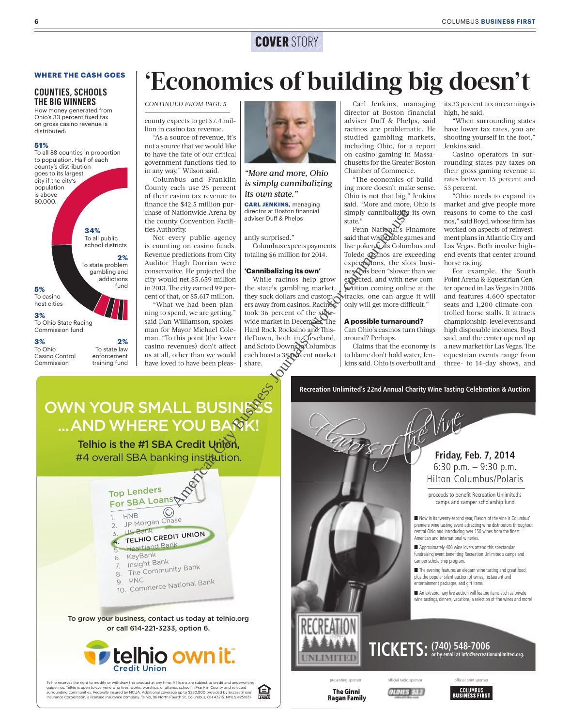#### **COVER** STORY

#### **WHERE THE CASH GOES**

#### **COUNTIES, SCHOOLS THE BIG WINNERS**

How money generated from Ohio's 33 percent fixed tax on gross casino revenue is distributed:

#### **51%**



To state law enforcement training fund

To Ohio Casino Control Commission

## **'Economics of building big doesn't**

#### *CONTINUED FROM PAGE 5*

county expects to get \$7.4 million in casino tax revenue.

"As a source of revenue, it's not a source that we would like to have the fate of our critical government functions tied to in any way," Wilson said.

Columbus and Franklin County each use 25 percent of their casino tax revenue to finance the \$42.5 million purchase of Nationwide Arena by the county Convention Facilities Authority.

Not every public agency is counting on casino funds. Revenue predictions from City Auditor Hugh Dorrian were conservative. He projected the city would net \$5.659 million in 2013. The city earned 99 percent of that, or \$5.617 million.

"What we had been planning to spend, we are getting," said Dan Williamson, spokesman for Mayor Michael Coleman. "To this point (the lower casino revenues) don't affect us at all, other than we would have loved to have been pleas-



*"More and more, Ohio is simply cannibalizing its own state."*

**CARL JENKINS,** managing director at Boston financial adviser Duff & Phelps

#### antly surprised."

Columbus expects payments totaling \$6 million for 2014.

#### **'Cannibalizing its own'**

While racinos help grow the state's gambling market, they suck dollars and customers away from casinos. Racinos took 36 percent of the statewide market in December. The Hard Rock Rocksino and ThistleDown, both in Cleveland, and Scioto Downs in Columbus each boast a 38 percent market share. To Ratinowide Arena by director at Boston financial divisor and the server public agency<br>
untry convention Radii and the server public agency<br>
untry public agency<br>
unter commercial user of the state."<br>
the projected the p

Carl Jenkins, managing director at Boston financial adviser Duff & Phelps, said racinos are problematic. He studied gambling markets, including Ohio, for a report on casino gaming in Massachusetts for the Greater Boston Chamber of Commerce.

"The economics of building more doesn't make sense. Ohio is not that big," Jenkins said. "More and more, Ohio is simply cannibalizing its own state."

ate.<br>Penn National's Finamore said that while able games and live poker at its Columbus and Toledo casinos are exceeding expectations, the slots business has been "slower than we expected, and with new competition coming online at the tracks, one can argue it will only will get more difficult."

#### **A possible turnaround?**

Can Ohio's casinos turn things around? Perhaps.

Claims that the economy is to blame don't hold water, Jenkins said. Ohio is overbuilt and

its 33 percent tax on earnings is high, he said.

"When surrounding states have lower tax rates, you are shooting yourself in the foot," Jenkins said.

Casino operators in surrounding states pay taxes on their gross gaming revenue at rates between 15 percent and 53 percent.

"Ohio needs to expand its market and give people more reasons to come to the casinos," said Boyd, whose firm has worked on aspects of reinvestment plans in Atlantic City and Las Vegas. Both involve highend events that center around horse racing.

For example, the South Point Arena & Equestrian Center opened in Las Vegas in 2006 and features 4,600 spectator seats and 1,200 climate-controlled horse stalls. It attracts championship-level events and high disposable incomes, Boyd said, and the center opened up a new market for Las Vegas. The equestrian events range from three- to 14-day shows, and

#### OWN YOUR SMALL BUSINES ... AND WHERE YOU BANK

Telhio is the #1 SBA Credit Union, #4 overall SBA banking institution.



To grow your business, contact us today at telhio.org or call 614-221-3233, option 6.



Telhio reserves the right to modify or withdraw this product at any time. All loans are subject to credit and underwriting<br>guidelines. Telhio is open to everyone who lives, works, worships, or attends school in Franklin Co 臼



**Ragan Family Ragan Family**

**The Ginni** 

**Friday, Feb. 7, 2014** 6:30 p.m. – 9:30 p.m. 9 Hilton Columbus/Polaris Hilton Columb France of the Vine

> proceeds to benefit Recreation Unlimited's camps and camper scholarship fund.

Now in its twenty-second year, Flavors of the Vine is Columbus' premiere wine tasting event attracting wine distributors throughout central Ohio and introducing over 150 wines from the finest American and international wineries.

Approximately 400 wine lovers attend this spectacular fundraising event benefiting Recreation Unlimited's camps and camper scholarship program.

 $\blacksquare$  The evening features an elegant wine tasting and great food, plus the popular silent auction of wines, restaurant and entertainment packages, and gift items.

An extraordinary live auction will feature items such as private wine tastings, dinners, vacations, a selection of fine wines and more!

#### **(740) 548-7006 TICKETS: or by email at [info@recreationunlimited.org.](mailto:info@recreationunlimited.org)**



**QLDIES SLA**